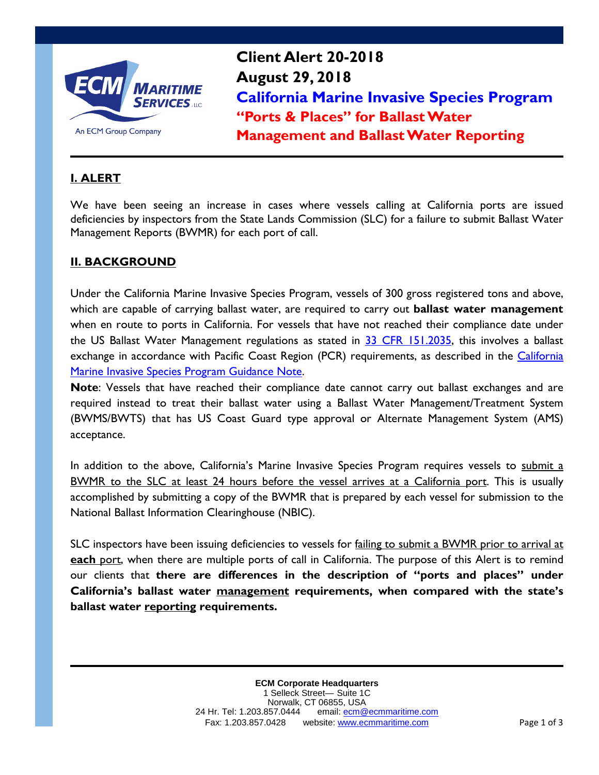

**Client Alert 20-2018 August 29, 2018 California Marine Invasive Species Program "Ports & Places" for Ballast Water Management and Ballast Water Reporting**

# **I. ALERT**

We have been seeing an increase in cases where vessels calling at California ports are issued deficiencies by inspectors from the State Lands Commission (SLC) for a failure to submit Ballast Water Management Reports (BWMR) for each port of call.

## **II. BACKGROUND**

Under the California Marine Invasive Species Program, vessels of 300 gross registered tons and above, which are capable of carrying ballast water, are required to carry out **ballast water management** when en route to ports in California. For vessels that have not reached their compliance date under the US Ballast Water Management regulations as stated in [33 CFR 151.2035,](https://www.gpo.gov/fdsys/pkg/CFR-2012-title33-vol2/xml/CFR-2012-title33-vol2-sec151-2035.xml) this involves a ballast exchange in accordance with Pacific Coast Region (PCR) requirements, as described in the California [Marine Invasive Species Program Guidance Note.](http://www.slc.ca.gov/Programs/MISP/InfoShts/BiofoulingBallastWater_Management.pdf)

**Note**: Vessels that have reached their compliance date cannot carry out ballast exchanges and are required instead to treat their ballast water using a Ballast Water Management/Treatment System (BWMS/BWTS) that has US Coast Guard type approval or Alternate Management System (AMS) acceptance.

In addition to the above, California's Marine Invasive Species Program requires vessels to submit a BWMR to the SLC at least 24 hours before the vessel arrives at a California port. This is usually accomplished by submitting a copy of the BWMR that is prepared by each vessel for submission to the National Ballast Information Clearinghouse (NBIC).

SLC inspectors have been issuing deficiencies to vessels for failing to submit a BWMR prior to arrival at **each** port, when there are multiple ports of call in California. The purpose of this Alert is to remind our clients that **there are differences in the description of "ports and places" under California's ballast water management requirements, when compared with the state's ballast water reporting requirements.**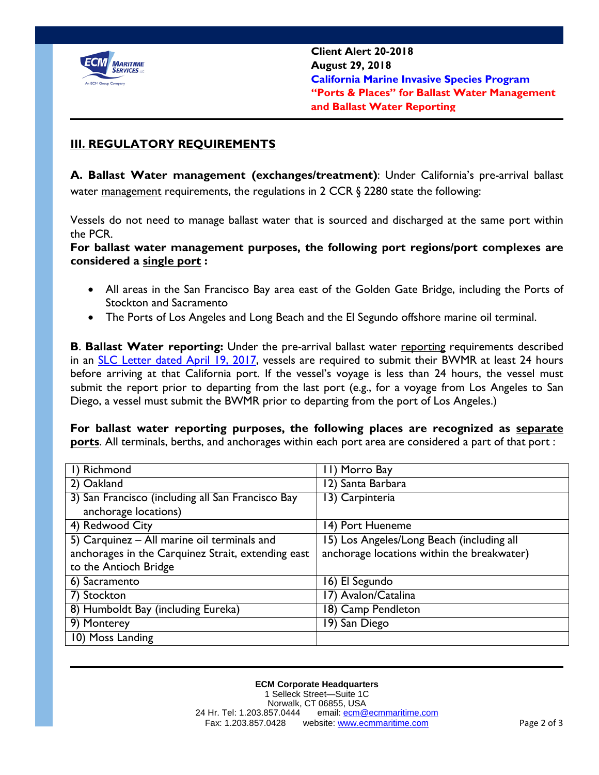

### **III. REGULATORY REQUIREMENTS**

**A. Ballast Water management (exchanges/treatment)**: Under California's pre-arrival ballast water <u>management</u> requirements, the regulations in 2 CCR  $\S$  2280 state the following:

Vessels do not need to manage ballast water that is sourced and discharged at the same port within the PCR.

**For ballast water management purposes, the following port regions/port complexes are considered a single port :**

- All areas in the San Francisco Bay area east of the Golden Gate Bridge, including the Ports of Stockton and Sacramento
- The Ports of Los Angeles and Long Beach and the El Segundo offshore marine oil terminal.

**B**. **Ballast Water reporting:** Under the pre-arrival ballast water reporting requirements described in an **SLC** Letter dated April 19, 2017, vessels are required to submit their BWMR at least 24 hours before arriving at that California port. If the vessel's voyage is less than 24 hours, the vessel must submit the report prior to departing from the last port (e.g., for a voyage from Los Angeles to San Diego, a vessel must submit the BWMR prior to departing from the port of Los Angeles.)

**For ballast water reporting purposes, the following places are recognized as separate ports**. All terminals, berths, and anchorages within each port area are considered a part of that port :

| I) Richmond                                               | 11) Morro Bay                              |
|-----------------------------------------------------------|--------------------------------------------|
| 2) Oakland                                                | 12) Santa Barbara                          |
| 3) San Francisco (including all San Francisco Bay         | 13) Carpinteria                            |
| anchorage locations)                                      |                                            |
| 4) Redwood City                                           | 14) Port Hueneme                           |
| $\overline{5}$ ) Carquinez – All marine oil terminals and | 15) Los Angeles/Long Beach (including all  |
| anchorages in the Carquinez Strait, extending east        | anchorage locations within the breakwater) |
| to the Antioch Bridge                                     |                                            |
| 6) Sacramento                                             | 16) El Segundo                             |
| 7) Stockton                                               | 17) Avalon/Catalina                        |
| 8) Humboldt Bay (including Eureka)                        | 18) Camp Pendleton                         |
| 9) Monterey                                               | 19) San Diego                              |
| 10) Moss Landing                                          |                                            |